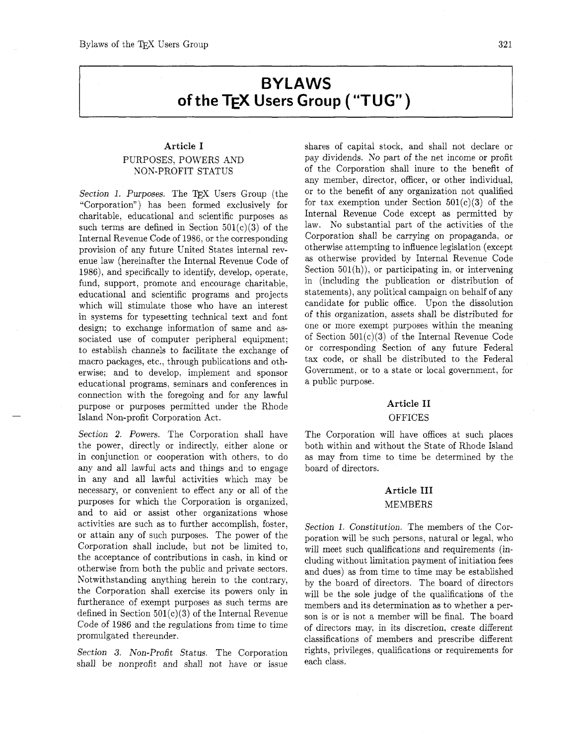# **BYLAWS of the TEX Users Group ("TUG")**

## **Article I**  PURPOSES, POWERS AND NON-PROFIT STATUS

Section 1. Purposes. The TFX Users Group (the "Corporation") has been formed exclusively for charitable, educational and scientific purposes as such terms are defined in Section  $501(c)(3)$  of the Internal Revenue Code of 1986, or the corresponding provision of any future United States internal revenue law (hereinafter the Internal Revenue Code of 1986), and specifically to identify, develop, operate, fund, support, promote and encourage charitable, educational and scientific programs and projects which will stimulate those who have an interest in systems for typesetting technical text and font design; to exchange information of same and associated use of computer peripheral equipment; to establish channels to facilitate the exchange of macro packages, etc., through publications and otherwise; and to develop. implement and sponsor educational programs, seminars and conferences in connection with the foregoing and for any lawful purpose or purposes permitted under the Rhode Island Non-profit Corporation Act.

Section 2. Powers. The Corporation shall have the power, directly or indirectly, either alone or in conjunction or cooperation with others, to do any and all lawful acts and things and to engage in any and all lawful activities which may be necessary, or convenient to effect any or all of the purposes for which the Corporation is organized, and to aid or assist other organizations whose activities are such as to further accomplish, foster, or attain any of such purposes. The power of the Corporation shall include, but not be limited to, the acceptance of contributions in cash. in kind or otherwise from both the public and private sectors. Notwithstanding anything herein to the contrary, the Corporation shall exercise its powers only in furtherance of exempt purposes as such terms are defined in Section  $501(c)(3)$  of the Internal Revenue Code of 1986 and the regulations from time to time promulgated thereunder.

Section **3.** Non-Profit Status. The Corporation shall be nonprofit and shall not have or issue

shares of capital stock, and shall not declare or pay dividends. No part of the net income or profit of the Corporation shall inure to the benefit of any member, director, officer, or other individual, or to the benefit of any organization not qualified for tax exemption under Section  $501(c)(3)$  of the Internal Revenue Code except as permitted by law. No substantial part of the activities of the Corporation shall be carrying on propaganda, or otherwise attempting to influence legislation (except as otherwise provided by Internal Revenue Code Section  $501(h)$ , or participating in, or intervening in (including the publication or distribution of statements), any political campaign on behalf of any candidate for public office. Upon the dissolution of this organization, assets shall be distributed for one or more exempt purposes within the meaning of Section  $501(c)(3)$  of the Internal Revenue Code or corresponding Section of any future Federal tax code, or shall be distributed to the Federal Government, or to a state or local government, for a public purpose.

# **Article I1**

#### **OFFICES**

The Corporation will have offices at such places both within and without the State of Rhode Island as may from time to time be determined by the board of directors.

## **Article I11**  MEMBERS

Section 1. Constitution. The members of the Corporation will be such persons, natural or legal, who will meet such qualifications and requirements (including without limitation payment of initiation fees and dues) as from time to time may be established by the board of directors. The board of directors will be the sole judge of the qualifications of the members and its determination as to whether a person is or is not a member will be final. The board of directors may, in its discretion. create different classifications of members and prescribe different rights, privileges, qualifications or requirements for each class.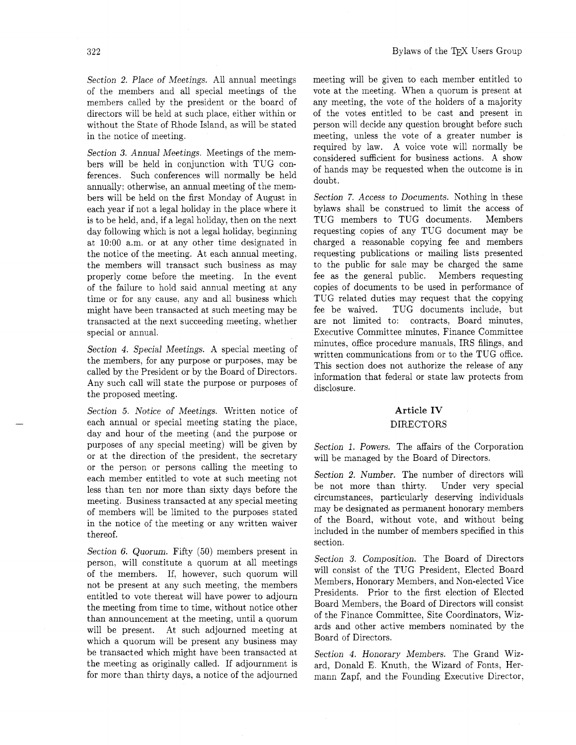Section 2. Place of Meetings. All annual meetings of the members and all special meetings of the members called by the president or the board of directors will be held at such place, either within or without the State of Rhode Island, as will be stated in the notice of meeting.

Section **3.** Annual Meetings. Meetings of the members will be held in conjunction with TUG conferences. Such conferences will normally be held annually; otherwise, an annual meeting of the members will be held on the first Monday of August in each year if not a legal holiday in the place where it is to be held, and. if a legal holiday, then on the next day following which is not a legal holiday, beginning at 10:OO a.m. or at any other time designated in the notice of the meeting. At each annual meeting. the members will transact such business as may properly come before the meeting. In the event of the failure to hold said annual meeting at any time or for any cause. any and all business which might have been transacted at such meeting may be transacted at the next succeeding meeting. whether special or annual.

Section 4. Special Meetings. A special meeting of the members, for any purpose or purposes, may be called by the President or by the Board of Directors. Any such call will state the purpose or purposes of the proposed meeting.

Section *5.* Notice of Meetings. Written notice of each annual or special meeting stating the place, day and hour of the meeting (and the purpose or purposes of any special meeting) will be given by or at the direction of the president, the secretary or the person or persons calling the meeting to each member entitled to vote at such meeting not less than ten nor more than sixty days before the meeting. Business transacted at any special meeting of members will be limited to the purposes stated in the notice of the meeting or any written waiver thereof.

Section 6. Quorum. Fifty (50) members present in person, will constitute a quorum at all meetings of the members. If, however, such quorum will not be present at any such meeting, the members entitled to vote thereat will have power to adjourn the meeting from time to time, without notice other than announcement at the meeting, until a quorum will be present. At such adjourned meeting at which a quorum will be present any business may be transacted which might have been transacted at the meeting as originally called. If adjournment is for more than thirty days, a notice of the adjourned meeting will be given to each member entitled to vote at the meeting. When a quorum is present at any meeting, the vote of the holders of a majority of the votes entitled to be cast and present in person will decide any question brought before such meeting, unless the vote of a greater number is required by law. A voice vote will normally be considered sufficient for business actions. A show of hands may be requested when the outcome is in doubt.

Section 7. Access to Documents. Nothing in these bylaws shall be construed to limit the access of TUG members to TUG documents. Members requesting copies of any TUG document may be charged a reasonable copying fee and members requesting publications or mailing lists presented to the public for sale may be charged the same fee as the general public. Members requesting copies of documents to be used in performance of TUG related duties may request that the copying fee be waived. TUG documents include, but are not limited to: contracts, Board minutes, Executive Committee minutes, Finance Committee minutes, office procedure manuals, IRS filings, and written communications from or to the TUG office. This section does not authorize the release of any information that federal or state law protects from disclosure.

## **Article** IV DIRECTORS

Section 1. Powers. The affairs of the Corporation will be managed by the Board of Directors.

Section 2. Number. The number of directors will be not more than thirty. Under very special circumstances, particularly deserving individuals may be designated as permanent honorary members of the Board, without vote, and without being included in the number of members specified in this section.

Section **3.** Composition. The Board of Directors will consist of the TUG President, Elected Board Members, Honorary Members, and Non-elected Vice Presidents. Prior to the first election of Elected Board Members, the Board of Directors will consist of the Finance Committee, Site Coordinators, Wizards and other active members nominated by the Board of Directors.

Section 4. Honorary Members. The Grand Wizard, Donald E. Knuth, the Wizard of Fonts, Hermann Zapf, and the Founding Executive Director,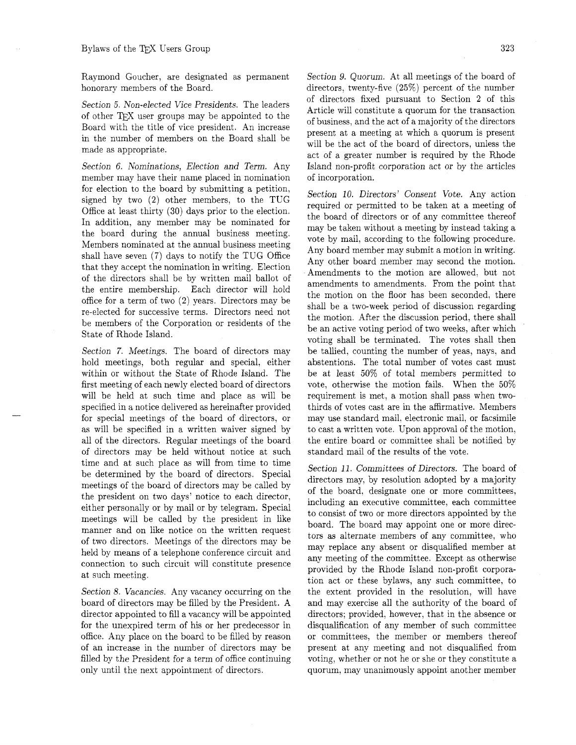honorary members of the Board. directors, twenty-five (25%) percent of the number

member may have their name placed in nomination of incorporation. for election to the board by submitting a petition, signed by two (2) other members, to the TUG Office at least thirty (30) days prior to the election. In addition, any member may be nominated for the board during the annual business meeting. Members nominated at the annual business meeting shall have seven (7) days to notify the TUG Office that they accept the nomination in writing. Election of the directors shall be by written mail ballot of the entire membership. Each director will hold office for a term of two *(2)* years. Directors may be re-elected for successive terms. Directors need not be members of the Corporation or residents of the State of Rhode Island.

Section 7. Meetings. The board of directors may hold meetings, both regular and special, either within or without the State of Rhode Island. The first meeting of each newly elected board of directors will be held at such time and place as will be specified in a notice delivered as hereinafter provided for special meetings of the board of directors, or as will be specified in a written waiver signed by all of the directors. Regular meetings of the board of directors may be held without notice at such time and at such place as will from time to time<br>be determined by the board of directors. Special directors may, by resolution adopted by a majority<br>meetings of the board of directors may be called by<br>the president on two manner and on like notice on the written request<br>of two directors. Meetings of the directors may be<br>held by means of a telephone conference circuit and<br>held by means of a telephone conference circuit and<br>any meeting of the

Section 8. Vacancies. Any vacancy occurring on the board of directors may be filled by the President. A director appointed to fill a vacancy will be appointed for the unexpired term of his or her predecessor in office. Any place on the board to be filled by reason of an increase in the number of directors may be filled by the President for a term of office continuing only until the next appointment of directors.

Raymond Goucher, are designated as permanent Section 9. Quorum. At all meetings of the board of Section 5. Non-elected Vice Presidents. The leaders<br>of directors fixed pursuant to Section 2 of this<br>of other TEX user groups may be appointed to the<br>Board with the title of vice president. An increase<br>in the number of mem Section 6. Nominations, Election and Term. Any Island non-profit corporation act or by the articles

> Section 10. Directors' Consent Vote. Any action required or permitted to be taken at a meeting of the board of directors or of any committee thereof may be taken without a meeting by instead taking a vote by mail, according to the following procedure. Any board member may submit a motion in writing. Any other board member may second the motion. Amendments to the motion are allowed, but not amendments to amendments. From the point that the motion on the floor has been seconded, there shall be a two-week period of discussion regarding the motion. After the discussion period, there shall be an active voting period of two weeks. after which voting shall be terminated. The votes shall then be tallied, counting the number of yeas, nays, and abstentions. The total number of votes cast must be at least 50% of total members permitted to vote, otherwise the motion fails. When the 50% requirement is met, a motion shall pass when twothirds of votes cast are in the affirmative. Members may use standard mail, electronic mail, or facsimile to cast a written vote. Upon approval of the motion, the entire board or committee shall be notified by standard mail of the results of the vote.

connection to such circuit will constitute presence<br>at such meeting.<br>tion act or these bylaws, any such committee, to the extent provided in the resolution, will have and may exercise all the authority of the board of directors; provided, however, that in the absence or disqualification of any member of such committee or committees, the member or members thereof present at any meeting and not disqualified from voting, whether or not he or she or they constitute a quorum, may unanimously appoint another member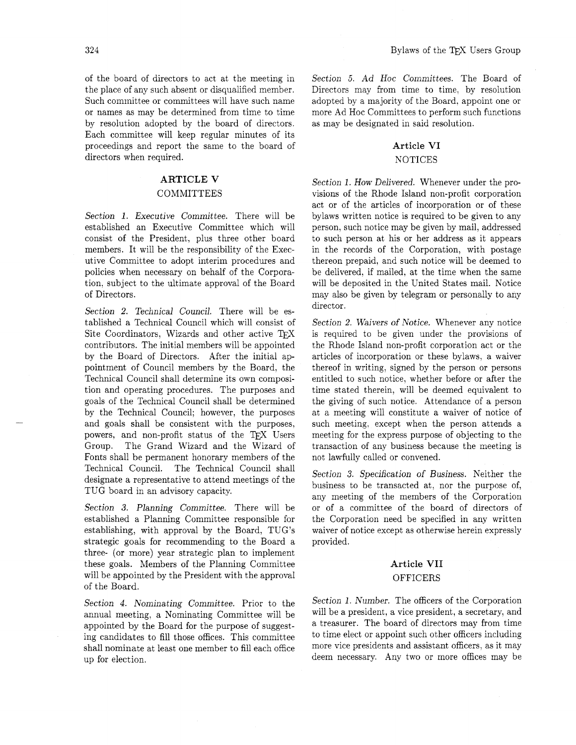of the board of directors to act at the meeting in the place of any such absent or disqualified member. Such committee or committees will have such name or names as may be determined from time to time by resolution adopted by the board of directors. Each committee will keep regular minutes of its proceedings and report the same to the board of directors when required.

# **ARTICLE V**

## COMMITTEES

Section 1. Executive Committee. There will be established an Executive Committee which will consist of the President, plus three other board members. It will be the responsibility of the Executive Committee to adopt interim procedures and policies when necessary on behalf of the Corporation, subject to the ultimate approval of the Board of Directors.

Section 2. Technical Council. There will be established a Technical Council which will consist of Site Coordinators, Wizards and other active *QX*  contributors. The initial members will be appointed by the Board of Directors. After the initial appointment of Council members by the Board, the Technical Council shall determine its own composition and operating procedures. The purposes and goals of the Technical Council shall be determined by the Technical Council; however, the purposes and goals shall be consistent with the purposes, powers, and non-profit status of the TFX Users Group. The Grand Wizard and the Wizard of Fonts shall be permanent honorary members of the Technical Council. The Technical Council shall designate a representative to attend meetings of the TUG board in an advisory capacity.

Section **3.** Planning Committee. There will be established a Planning Committee responsible for establishing, with approval by the Board, TUG'S strategic goals for recommending to the Board a three- (or more) year strategic plan to implement these goals. Members of the Planning Committee will be appointed by the President with the approval of the Board.

Section 4. Nominating Committee. Prior to the annual meeting, a Nominating Committee will be appointed by the Board for the purpose of suggesting candidates to fill those offices. This committee shall nominate at least one member to fill each office up for election.

Section *5.* Ad Hoc Committees. The Board of Directors may from time to time, by resolution adopted by a majority of the Board, appoint one or more Ad Hoc Committees to perform such functions as may be designated in said resolution.

# **Article VI**

#### NOTICES

Section 1. How Delivered. Whenever under the provisions of the Rhode Island non-profit corporation act or of the articles of incorporation or of these bylaws written notice is required to be given to any person, such notice may be given by mail, addressed to such person at his or her address as it appears in the records of the Corporation, with postage thereon prepaid, and such notice will be deemed to be delivered. if mailed, at the time when the same will be deposited in the United States mail. Notice may also be given by telegram or personally to any director.

Section 2. Waivers of Notice. Whenever any notice is required to be given under the provisions of the Rhode Island non-profit corporation act or the articles of incorporation or these bylaws, a waiver thereof in writing, signed by the person or persons entitled to such notice, whether before or after the time stated therein, will be deemed equivalent to the giving of such notice. Attendance of a person at a meeting will constitute a waiver of notice of such meeting. except when the person attends a meeting for the express purpose of objecting to the transaction of any business because the meeting is not lawfully called or convened.

Section **3.** Specification of Business. Neither the business to be transacted at, nor the purpose of, any meeting of the members of the Corporation or of a committee of the board of directors of the Corporation need be specified in any written waiver of notice except as otherwise herein expressly provided.

## **Article VII**  OFFICERS

Section 1. Number. The officers of the Corporation will be a president, a vice president, a secretary, and a treasurer. The board of directors may from time to time elect or appoint such other officers including more vice presidents and assistant officers, as it may deem necessary. Any two or more offices may be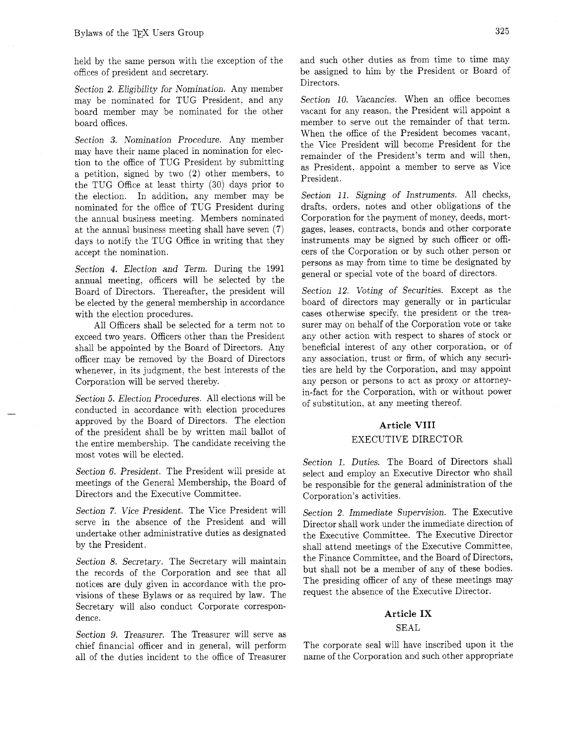offices of president and secretary. be assigned to him by the President or Board of

Section 2. Eligibility for Nomination. Any member<br>may be nominated for TUG President, and any Section 10. Vacancies. When an office becomes may be nominated for TUG President, and any board member may be nominated for the other vacant for any reason, the President will appoint a board offices. member to serve out the remainder of that term.

Section **3.** Nomination Procedure. Any member may have their name placed in nomination for election to the office of TUG President by submitting a petition, signed by two **(2)** other members, to the TUG Office at least thirty **(30)** days prior to the election. In addition, any member may be nominated for the office of TUG President during the annual business meeting. Members nominated at the annual business meeting shall have seven (7) days to notify the TUG Office in writing that they accept the nomination.

Section 4. Election and Term. During the 1991 annual meeting. officers will be selected by the Board of Directors. Thereafter, the president will be elected by the general membership in accordance with the election procedures.

All Officers shall be selected for a term not to exceed two years. Officers other than the President shall be appointed by the Board of Directors. Any officer may be removed by the Board of Directors whenever. in its judgment, the best interests of the Corporation will be served thereby.

Section *5.* Election Procedures. All elections will be conducted in accordance with election procedures approved by the Board of Directors. The election of the president shall be by written mail ballot of the entire membership. The candidate receiving the most votes will be elected.

Section 6. President. The President will preside at meetings of the General Membership, the Board of Directors and the Executive Committee.

Section **7.** Vice President. The Vice President will serve in the absence of the President and will undertake other administrative duties as designated by the President.

Section 8. Secretary. The Secretary will maintain the records of the Corporation and see that all notices are duly given in accordance with the provisions of these Bylaws or as required by law. The Secretary will also conduct Corporate correspondence.

Section 9. Treasurer. The Treasurer will serve as chief financial officer and in general, will perform all of the duties incident to the office of Treasurer

held by the same person with the exception of the and such other duties as from time to time may

When the office of the President becomes vacant, the Vice President will become President for the remainder of the President's term and will then, as President, appoint a member to serve as Vice President.

Section *11.* Signing of Instruments. All checks, drafts, orders, notes and other obligations of the Corporation for the payment of money, deeds, mortgages, leases, contracts, bonds and other corporate instruments may be signed by such officer or officers of the Corporation or by such other person or persons as may from time to time be designated by general or special vote of the board of directors.

Section *12.* Voting of Securities. Except as the board of directors may generally or in particular cases otherwise specify, the president or the treasurer may on behalf of the Corporation vote or take any other action with respect to shares of stock or beneficial interest of any other corporation, or of any association, trust or firm. of which any securities are held by the Corporation, and may appoint any person or persons to act as proxy or attorneyin-fact for the Corporation, with or without power of substitution, at any meeting thereof.

#### **Article VIII**

#### EXECUTIVE DIRECTOR

Section *1.* Duties. The Board of Directors shall select and employ an Executive Director who shall be responsible for the general administration of the Corporation's activities.

Section 2. Immediate Supervision. The Executive Director shall work under the immediate direction of the Executive Committee. The Executive Director shall attend meetings of the Executive Committee, the Finance Committee, and the Board of Directors, but shall not be a member of any of these bodies. The presiding officer of any of these meetings may request the absence of the Executive Director.

#### **Article IX**

#### SEAL

The corporate seal will have inscribed upon it the name of the Corporation and such other appropriate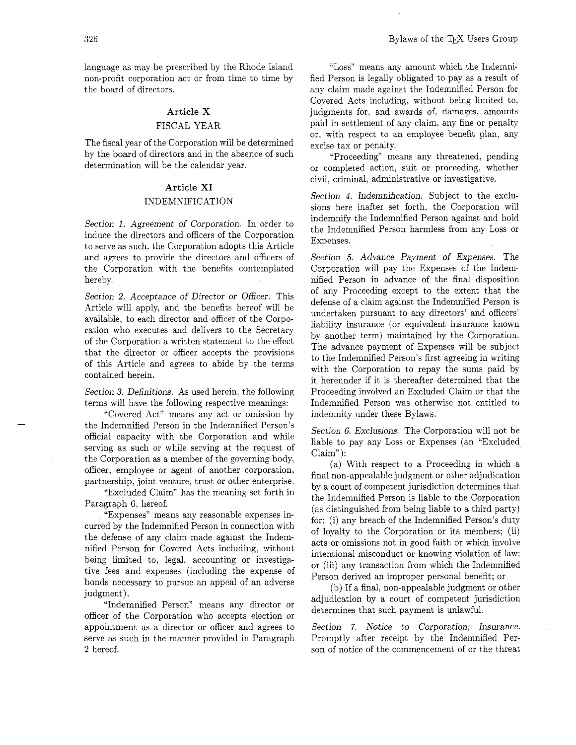language as may be prescribed by the Rhode Island non-profit corporation act or from time to time by the board of directors.

#### **Article X**

#### FISCAL YEAR

The fiscal year of the Corporation will be determined by the board of directors and in the absence of such determination will be the calendar year.

#### **Article XI**

#### INDEMNIFICATION

Section 1. Agreement of Corporation. In order to induce the directors and officers of the Corporation to serve as such. the Corporation adopts this Article and agrees to provide the directors and officers of the Corporation with the benefits contemplated hereby.

Section 2. Acceptance of Director or Officer. This Article will apply, and the benefits hereof will be available, to each director and officer of the Corporation who executes and delivers to the Secretary of the Corporation a written statement to the effect that the director or officer accepts the provisions of this Article and agrees to abide by the terms contained herein.

Section **3.** Definitions. As used herein. the following terms will have the following respective meanings:

"Covered Act" means any act or omission by the Indemnified Person in the Indemnified Person's official capacity with the Corporation and while serving as such or while serving at the request of the Corporation as a member of the governing body. officer, employee or agent of another corporation. partnership. joint venture, trust or other enterprise.

"Excluded Claim" has the meaning set forth in Paragraph 6, hereof.

"Expenses" means any reasonable expenses incurred by the Indemnified Person in connection with the defense of any claim made against the Indemnified Person for Covered Acts including, without being limited to. legal, accounting or investigative fees and expenses (including the expense of bonds necessary to pursue an appeal of an adverse judgment).

"Indemnified Person" means any director or officer of the Corporation who accepts election or appointment as a director or officer and agrees to Section 7. Notice to Corporation; Insurance. serve as such in the manner provided in Paragraph Promptly after receipt by the Indemnified Per-2 hereof. son of notice of the commencement of or the threat

"Loss" means any amount which the Indemnified Person is legally obligated to pay as a result of any claim made against the Indemnified Person for Covered Acts including, without being limited to. judgments for, and awards of, damages, amounts paid in settlement of any claim, any fine or penalty or; with respect to an employee benefit plan, any excise tax or penalty.

"Proceeding" means any threatened, pending or completed action, suit or proceeding, whether civil, criminal, administrative or investigative.

Section 4. Indemnification. Subject to the exclusions here inafter set forth, the Corporation will indemnify the Indemnified Person against and hold the Indemnified Person harmless from any Loss or Expenses.

Section *5.* Advance Payment of Expenses. The Corporation will pay the Expenses of the Indemnified Person in advance of the final disposition of any Proceeding except to the extent that the defense of a claim against the Indemnified Person is undertaken pursuant to any directors' and officers' liability insurance (or equivalent insurance known by another term) maintained by the Corporation. The advance payment of Expenses will be subject to the Indemnified Person's first agreeing in writing with the Corporation to repay the sums paid by it hereunder if it is thereafter determined that the Proceeding involved an Excluded Claim or that the Indemnified Person was otherwise not entitled to indemnity under these Bylaws.

Section 6. Exclusions. The Corporation will not be liable to pay any Loss or Expenses (an "Excluded. Claim" ):

(a) With respect to a Proceeding in which a final non-appealable judgment or other adjudication by a court of competent jurisdiction determines that the Indemnified Person is liable to the Corporation (as distinguished from being liable to a third party) for: (i) any breach of the Indemnified Person's duty of loyalty to the Corporation or its members; (ii) acts or omissions not in good faith or which involve intentional misconduct or knowing violation of law; or (iii) any transaction from which the Indemnified Person derived an improper personal benefit; or

(b) If a final, non-appealable judgment or other adjudication by a court of competent jurisdiction determines that such payment is unlawful.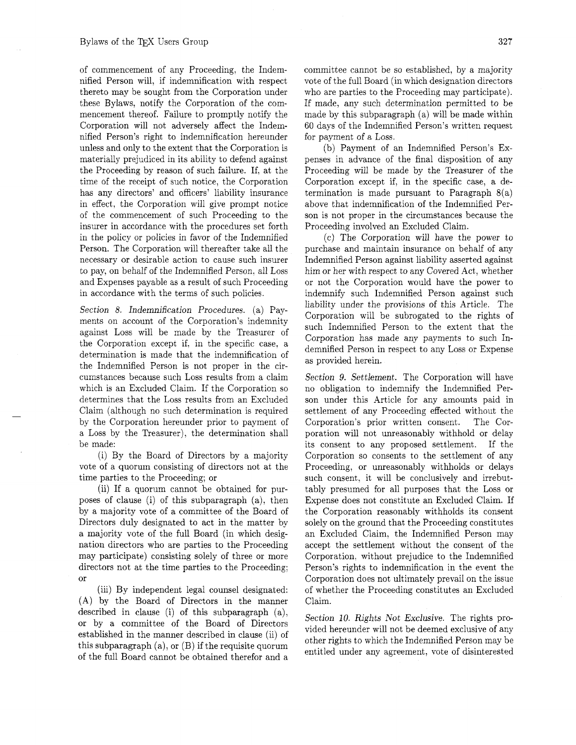of commencement of any Proceeding, the Indemnified Person will, if indemnification with respect thereto may be sought from the Corporation under these Bylaws, notify the Corporation of the commencement thereof. Failure to promptly notify the Corporation will not adversely affect the Indemnified Person's right to indemnification hereunder unless and only to the extent that the Corporation is materially prejudiced in its ability to defend against the Proceeding by reason of such failure. If, at the time of the receipt of such notice, the Corporation has any directors' and officers' liability insurance in effect, the Corporation will give prompt notice of the commencement of such Proceeding to the insurer in accordance with the procedures set forth in the policy or policies in favor of the Indemnified Person. The Corporation will thereafter take all the necessary or desirable action to cause such insurer to pay, on behalf of the Indemnified Person, all Loss and Expenses payable as a result of such Proceeding in accordance with the terms of such policies.

Section 8. Indemnification Procedures. (a) Payments on account of the Corporation's indemnity against Loss will be made by the Treasurer of the Corporation except if. in the specific case. a determination is made that the indemnification of the Indemnified Person is not proper in the circumstances because such Loss results from a claim which is an Excluded Claim. If the Corporation so determines that the Loss results from an Excluded Claim (although no such determination is required by the Corporation hereunder prior to payment of a Loss by the Treasurer), the determination shall be made:

(i) By the Board of Directors by a majority vote of a quorum consisting of directors not at the time parties to the Proceeding; or

(ii) If a quorum cannot be obtained for purposes of clause (i) of this subparagraph (a). then by a majority vote of a committee of the Board of Directors duly designated to act in the matter by a majority vote of the full Board (in which designation directors who are parties to the Proceeding may participate) consisting solely of three or more directors not at the time parties to the Proceeding; or

(iii) By independent legal counsel designated: (A) by the Board of Directors in the manner described in clause (i) of this subparagraph (a), or by a committee of the Board of Directors established in the manner described in clause (ii) of this subparagraph (a), or (B) if the requisite quorum of the full Board cannot be obtained therefor and a

committee cannot be so established, by a majority vote of the full Board (in which designation directors who are parties to the Proceeding may participate). If made, any such determination permitted to be made by this subparagraph (a) will be made within 60 days of the Indemnified Person's written request for payment of a Loss.

(b) Payment of an Indemnified Person's Expenses in advance of the final disposition of any Proceeding will be made by the Treasurer of the Corporation except if, in the specific case, a determination is made pursuant to Paragraph  $8(a)$ above that indemnification of the Indemnified Person is not proper in the circumstances because the Proceeding involved an Excluded Claim.

(c) The Corporation will have the power to purchase and maintain insurance on behalf of any Indemnified Person against liability asserted against him or her with respect to any Covered Act, whether or not the Corporation would have the power to indemnify such Indemnified Person against such liability under the provisions of this Article. The Corporation will be subrogated to the rights of such Indemnified Person to the extent that the Corporation has made any payments to such Indemnified Person in respect to any Loss or Expense as provided herein.

Section 9. Settlement. The Corporation will have no obligation to indemnify the Indemnified Person under this Article for any amounts paid in settlement of any Proceeding effected without the Corporation's prior written consent. The Corporation will not unreasonably withhold or delay its consent to any proposed settlement. If the Corporation so consents to the settlement of any Proceeding, or unreasonably withholds or delays such consent, it will be conclusively and irrebuttably presumed for all purposes that the Loss or Expense does not constitute an Excluded Claim. If the Corporation reasonably withholds its consent solely on the ground that the Proceeding constitutes an Excluded Claim, the Indemnified Person may accept the settlement without the consent of the Corporation, without prejudice to the Indemnified Person's rights to indemnification in the event the Corporation does not ultimately prevail on the issue of whether the Proceeding constitutes an Excluded Claim.

Section 10. Rights Not Exclusive. The rights provided hereunder will not be deemed exclusive of any other rights to which the Indemnified Person may be entitled under any agreement, vote of disinterested